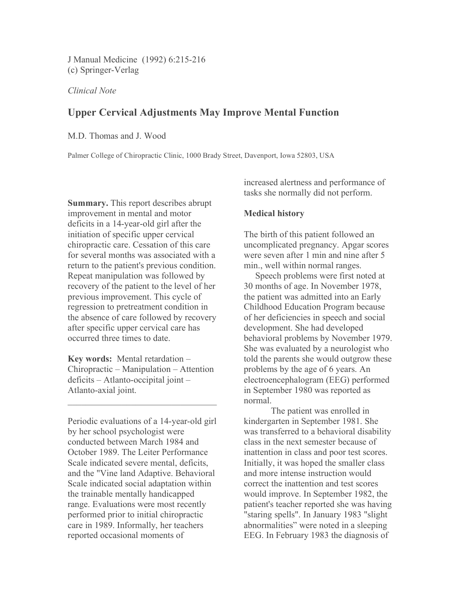J Manual Medicine (1992) 6:215-216 (c) Springer-Verlag

*Clinical Note*

# **Upper Cervical Adjustments May Improve Mental Function**

M.D. Thomas and J. Wood

Palmer College of Chiropractic Clinic, 1000 Brady Street, Davenport, Iowa 52803, USA

**Summary.** This report describes abrupt improvement in mental and motor deficits in a 14-year-old girl after the initiation of specific upper cervical chiropractic care. Cessation of this care for several months was associated with a return to the patient's previous condition. Repeat manipulation was followed by recovery of the patient to the level of her previous improvement. This cycle of regression to pretreatment condition in the absence of care followed by recovery after specific upper cervical care has occurred three times to date.

**Key words:** Mental retardation – Chiropractic – Manipulation – Attention deficits – Atlanto-occipital joint – Atlanto-axial joint.

 $\mathcal{L}_\text{max}$  , and the set of the set of the set of the set of the set of the set of the set of the set of the set of the set of the set of the set of the set of the set of the set of the set of the set of the set of the

Periodic evaluations of a 14-year-old girl by her school psychologist were conducted between March 1984 and October 1989. The Leiter Performance Scale indicated severe mental, deficits, and the "Vine land Adaptive. Behavioral Scale indicated social adaptation within the trainable mentally handicapped range. Evaluations were most recently performed prior to initial chiropractic care in 1989. Informally, her teachers reported occasional moments of

increased alertness and performance of tasks she normally did not perform.

## **Medical history**

The birth of this patient followed an uncomplicated pregnancy. Apgar scores were seven after 1 min and nine after 5 min., well within normal ranges.

 Speech problems were first noted at 30 months of age. In November 1978, the patient was admitted into an Early Childhood Education Program because of her deficiencies in speech and social development. She had developed behavioral problems by November 1979. She was evaluated by a neurologist who told the parents she would outgrow these problems by the age of 6 years. An electroencephalogram (EEG) performed in September 1980 was reported as normal.

The patient was enrolled in kindergarten in September 1981. She was transferred to a behavioral disability class in the next semester because of inattention in class and poor test scores. Initially, it was hoped the smaller class and more intense instruction would correct the inattention and test scores would improve. In September 1982, the patient's teacher reported she was having "staring spells". In January 1983 "slight abnormalities" were noted in a sleeping EEG. In February 1983 the diagnosis of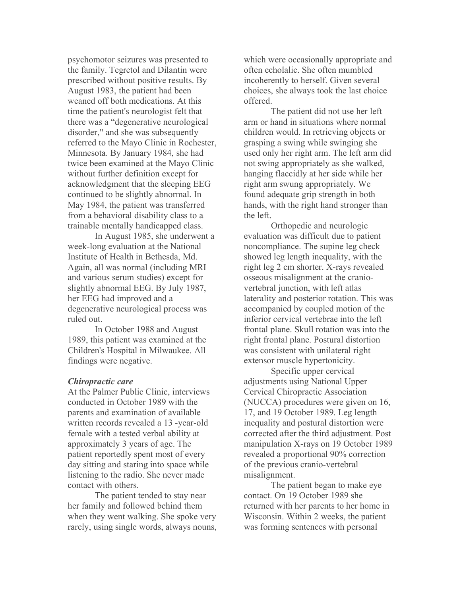psychomotor seizures was presented to the family. Tegretol and Dilantin were prescribed without positive results. By August 1983, the patient had been weaned off both medications. At this time the patient's neurologist felt that there was a "degenerative neurological disorder," and she was subsequently referred to the Mayo Clinic in Rochester, Minnesota. By January 1984, she had twice been examined at the Mayo Clinic without further definition except for acknowledgment that the sleeping EEG continued to be slightly abnormal. In May 1984, the patient was transferred from a behavioral disability class to a trainable mentally handicapped class.

In August 1985, she underwent a week-long evaluation at the National Institute of Health in Bethesda, Md. Again, all was normal (including MRI and various serum studies) except for slightly abnormal EEG. By July 1987, her EEG had improved and a degenerative neurological process was ruled out.

In October 1988 and August 1989, this patient was examined at the Children's Hospital in Milwaukee. All findings were negative.

#### *Chiropractic care*

At the Palmer Public Clinic, interviews conducted in October 1989 with the parents and examination of available written records revealed a 13 -year-old female with a tested verbal ability at approximately 3 years of age. The patient reportedly spent most of every day sitting and staring into space while listening to the radio. She never made contact with others.

The patient tended to stay near her family and followed behind them when they went walking. She spoke very rarely, using single words, always nouns, which were occasionally appropriate and often echolalic. She often mumbled incoherently to herself. Given several choices, she always took the last choice offered.

The patient did not use her left arm or hand in situations where normal children would. In retrieving objects or grasping a swing while swinging she used only her right arm. The left arm did not swing appropriately as she walked, hanging flaccidly at her side while her right arm swung appropriately. We found adequate grip strength in both hands, with the right hand stronger than the left.

Orthopedic and neurologic evaluation was difficult due to patient noncompliance. The supine leg check showed leg length inequality, with the right leg 2 cm shorter. X-rays revealed osseous misalignment at the craniovertebral junction, with left atlas laterality and posterior rotation. This was accompanied by coupled motion of the inferior cervical vertebrae into the left frontal plane. Skull rotation was into the right frontal plane. Postural distortion was consistent with unilateral right extensor muscle hypertonicity.

Specific upper cervical adjustments using National Upper Cervical Chiropractic Association (NUCCA) procedures were given on 16, 17, and 19 October 1989. Leg length inequality and postural distortion were corrected after the third adjustment. Post manipulation X-rays on 19 October 1989 revealed a proportional 90% correction of the previous cranio-vertebral misalignment.

The patient began to make eye contact. On 19 October 1989 she returned with her parents to her home in Wisconsin. Within 2 weeks, the patient was forming sentences with personal